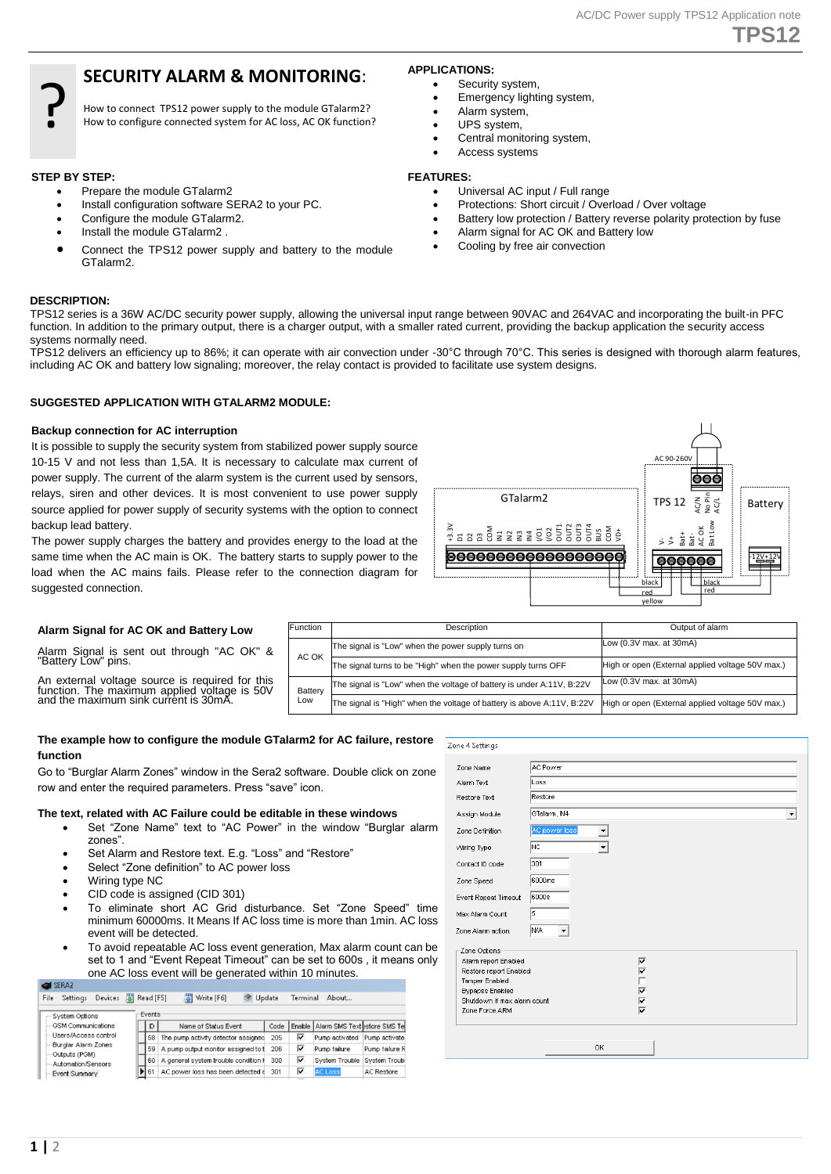## **TPS12**

## **SECURITY ALARM & MONITORING**:

How to connect TPS12 power supply to the module GTalarm2? How to configure connected system for AC loss, AC OK function?

#### **STEP BY STEP:**

?

- Prepare the module GTalarm2
- Install configuration software SERA2 to your PC.
- Configure the module GTalarm2.
- Install the module GTalarm2 .
- Connect the TPS12 power supply and battery to the module GTalarm2.

#### **DESCRIPTION:**

TPS12 series is a 36W AC/DC security power supply, allowing the universal input range between 90VAC and 264VAC and incorporating the built-in PFC function. In addition to the primary output, there is a charger output, with a smaller rated current, providing the backup application the security access systems normally need.

TPS12 delivers an efficiency up to 86%; it can operate with air convection under -30°C through 70°C. This series is designed with thorough alarm features, including AC OK and battery low signaling; moreover, the relay contact is provided to facilitate use system designs.

#### **SUGGESTED APPLICATION WITH GTALARM2 MODULE:**

#### **Backup connection for AC interruption**

It is possible to supply the security system from stabilized power supply source 10-15 V and not less than 1,5A. It is necessary to calculate max current of power supply. The current of the alarm system is the current used by sensors, relays, siren and other devices. It is most convenient to use power supply source applied for power supply of security systems with the option to connect backup lead battery.

The power supply charges the battery and provides energy to the load at the same time when the AC main is OK. The battery starts to supply power to the load when the AC mains fails. Please refer to the connection diagram for suggested connection.

#### **Alarm Signal for AC OK and Battery Low**

Alarm Signal is sent out through "AC OK" & "Battery Low" pins.

An external voltage source is required for this function. The maximum applied voltage is 50V and the maximum sink current is 30mA.

| Function | Description                                                            | Output of alarm                                  |
|----------|------------------------------------------------------------------------|--------------------------------------------------|
| AC OK    | The signal is "Low" when the power supply turns on                     | Low $(0.3V$ max. at $30mA$ )                     |
|          | The signal turns to be "High" when the power supply turns OFF          | High or open (External applied voltage 50V max.) |
| Battery  | The signal is "Low" when the voltage of battery is under A:11V, B:22V  | Low (0.3V max. at 30mA)                          |
| Low      | The signal is "High" when the voltage of battery is above A:11V, B:22V | High or open (External applied voltage 50V max.) |

#### **The example how to configure the module GTalarm2 for AC failure, restore function**

Go to "Burglar Alarm Zones" window in the Sera2 software. Double click on zone row and enter the required parameters. Press "save" icon.

#### **The text, related with AC Failure could be editable in these windows**

- Set "Zone Name" text to "AC Power" in the window "Burglar alarm zones".
- Set Alarm and Restore text. E.g. "Loss" and "Restore"
- Select "Zone definition" to AC power loss
- Wiring type NC
- CID code is assigned (CID 301)
- To eliminate short AC Grid disturbance. Set "Zone Speed" time minimum 60000ms. It Means If AC loss time is more than 1min. AC loss event will be detected.
- To avoid repeatable AC loss event generation, Max alarm count can be set to 1 and "Event Repeat Timeout" can be set to 600s , it means only one AC loss event will be generated within 10 minutes.

SERA2 File Settings Devices (8) Read [F5] (8) Write [F6] & Update Terminal About...

| System Options                       | Events |                                         |      |   |                                       |                |
|--------------------------------------|--------|-----------------------------------------|------|---|---------------------------------------|----------------|
| <b>GSM Communications</b>            | ID.    | Name of Status Event                    | Code |   | Enable   Alarm SMS Text estore SMS Te |                |
| Users/Access control                 |        | 58 The pump activity detector assigned  | 205  | ⊽ | Pump activated                        | Pump activate  |
| Burglar Alarm Zones<br>Outputs (PGM) |        | 59 A pump output monitor assigned to t  | 206  | ⊽ | Pump failure                          | Pump failure R |
| Automation/Sensors                   |        | 60 A general system trouble condition i | 300  | ⊽ | System Trouble System Troub           |                |
| Event Summary                        | 161    | AC power loss has been detected a       | 301  | ⊽ | <b>AC Loss</b>                        | AC Restore     |

| Sone Name                   | AC Power                |  |
|-----------------------------|-------------------------|--|
| Marm Text                   | Loss                    |  |
| testore Text                | <b>Restore</b>          |  |
| <b>Assign Module</b>        | GTalarm, IN4            |  |
| one Definition              | AC power loss<br>▼      |  |
| Viring Type                 | NC<br>▼∣                |  |
| Contact ID code             | 301                     |  |
| Speed                       | 6000ms                  |  |
| vent Repeat Timeout         | 6000s                   |  |
| fax Alarm Count             | 5                       |  |
| one Alarm action:           | N/A<br>▾                |  |
| Zone Options-               |                         |  |
| Alarm report Enabled        | ⊽                       |  |
| Restore report Enabled      | ⊽                       |  |
| Tamper Enabled              |                         |  |
| <b>Bypapss Enabled</b>      | ⊽                       |  |
| Shutdown if max alarm count | $\overline{\mathbf{v}}$ |  |
| Zone Force ARM              | $\overline{\mathbf{v}}$ |  |
|                             |                         |  |
|                             | OK                      |  |
|                             |                         |  |



# Zone 4 Settings

### **FEATURES:**

**APPLICATIONS:** 

Universal AC input / Full range

Emergency lighting system,

Central monitoring system,

Security system,

 Alarm system, UPS system,

Access systems

- Protections: Short circuit / Overload / Over voltage
- Battery low protection / Battery reverse polarity protection by fuse
- Alarm signal for AC OK and Battery low
- Cooling by free air convection